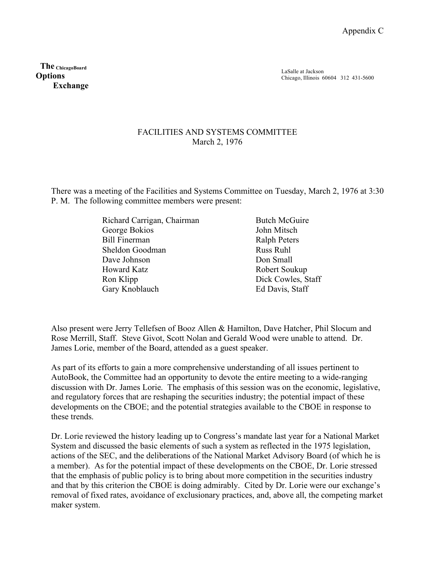**The ChicagoBoard Options Exchange**

## FACILITIES AND SYSTEMS COMMITTEE March 2, 1976

There was a meeting of the Facilities and Systems Committee on Tuesday, March 2, 1976 at 3:30 P. M. The following committee members were present:

| Richard Carrigan, Chairman | <b>Butch McGuire</b> |
|----------------------------|----------------------|
| George Bokios              | John Mitsch          |
| <b>Bill Finerman</b>       | <b>Ralph Peters</b>  |
| Sheldon Goodman            | <b>Russ Ruhl</b>     |
| Dave Johnson               | Don Small            |
| Howard Katz                | Robert Soukup        |
| Ron Klipp                  | Dick Cowles, Staff   |
| Gary Knoblauch             | Ed Davis, Staff      |
|                            |                      |

Also present were Jerry Tellefsen of Booz Allen & Hamilton, Dave Hatcher, Phil Slocum and Rose Merrill, Staff. Steve Givot, Scott Nolan and Gerald Wood were unable to attend. Dr. James Lorie, member of the Board, attended as a guest speaker.

As part of its efforts to gain a more comprehensive understanding of all issues pertinent to AutoBook, the Committee had an opportunity to devote the entire meeting to a wide-ranging discussion with Dr. James Lorie. The emphasis of this session was on the economic, legislative, and regulatory forces that are reshaping the securities industry; the potential impact of these developments on the CBOE; and the potential strategies available to the CBOE in response to these trends.

Dr. Lorie reviewed the history leading up to Congress's mandate last year for a National Market System and discussed the basic elements of such a system as reflected in the 1975 legislation, actions of the SEC, and the deliberations of the National Market Advisory Board (of which he is a member). As for the potential impact of these developments on the CBOE, Dr. Lorie stressed that the emphasis of public policy is to bring about more competition in the securities industry and that by this criterion the CBOE is doing admirably. Cited by Dr. Lorie were our exchange's removal of fixed rates, avoidance of exclusionary practices, and, above all, the competing market maker system.